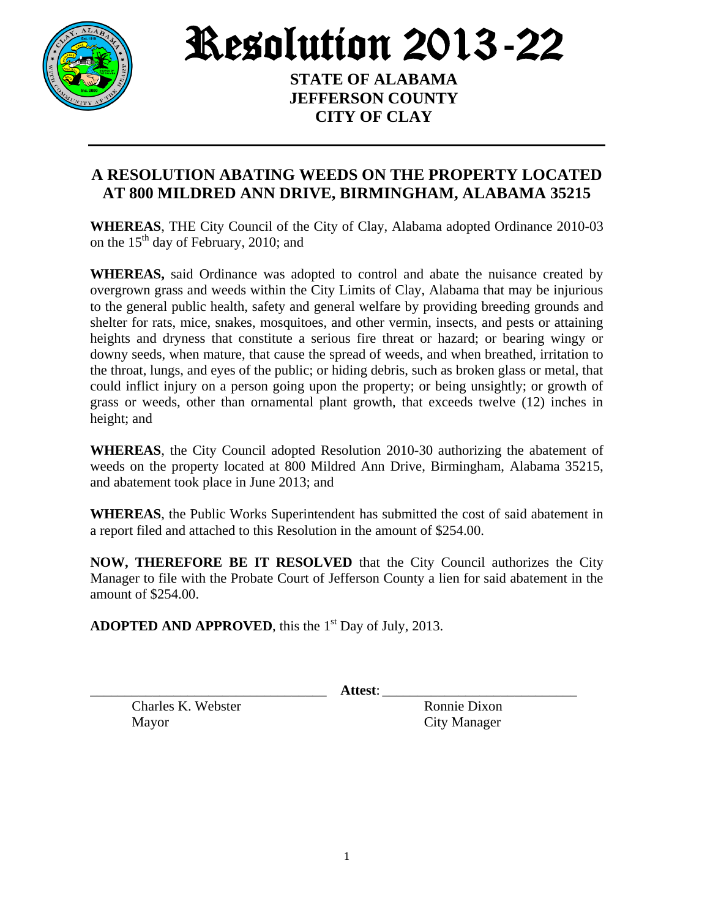

Resolution 2013-22

**STATE OF ALABAMA JEFFERSON COUNTY CITY OF CLAY**

## **A RESOLUTION ABATING WEEDS ON THE PROPERTY LOCATED AT 800 MILDRED ANN DRIVE, BIRMINGHAM, ALABAMA 35215**

**WHEREAS**, THE City Council of the City of Clay, Alabama adopted Ordinance 2010-03 on the  $15<sup>th</sup>$  day of February, 2010; and

**WHEREAS,** said Ordinance was adopted to control and abate the nuisance created by overgrown grass and weeds within the City Limits of Clay, Alabama that may be injurious to the general public health, safety and general welfare by providing breeding grounds and shelter for rats, mice, snakes, mosquitoes, and other vermin, insects, and pests or attaining heights and dryness that constitute a serious fire threat or hazard; or bearing wingy or downy seeds, when mature, that cause the spread of weeds, and when breathed, irritation to the throat, lungs, and eyes of the public; or hiding debris, such as broken glass or metal, that could inflict injury on a person going upon the property; or being unsightly; or growth of grass or weeds, other than ornamental plant growth, that exceeds twelve (12) inches in height; and

**WHEREAS**, the City Council adopted Resolution 2010-30 authorizing the abatement of weeds on the property located at 800 Mildred Ann Drive, Birmingham, Alabama 35215, and abatement took place in June 2013; and

**WHEREAS**, the Public Works Superintendent has submitted the cost of said abatement in a report filed and attached to this Resolution in the amount of \$254.00.

**NOW, THEREFORE BE IT RESOLVED** that the City Council authorizes the City Manager to file with the Probate Court of Jefferson County a lien for said abatement in the amount of \$254.00.

ADOPTED AND APPROVED, this the 1<sup>st</sup> Day of July, 2013.

\_\_\_\_\_\_\_\_\_\_\_\_\_\_\_\_\_\_\_\_\_\_\_\_\_\_\_\_\_\_\_\_\_\_ **Attest**: \_\_\_\_\_\_\_\_\_\_\_\_\_\_\_\_\_\_\_\_\_\_\_\_\_\_\_\_

Charles K. Webster Ronnie Dixon Mayor City Manager